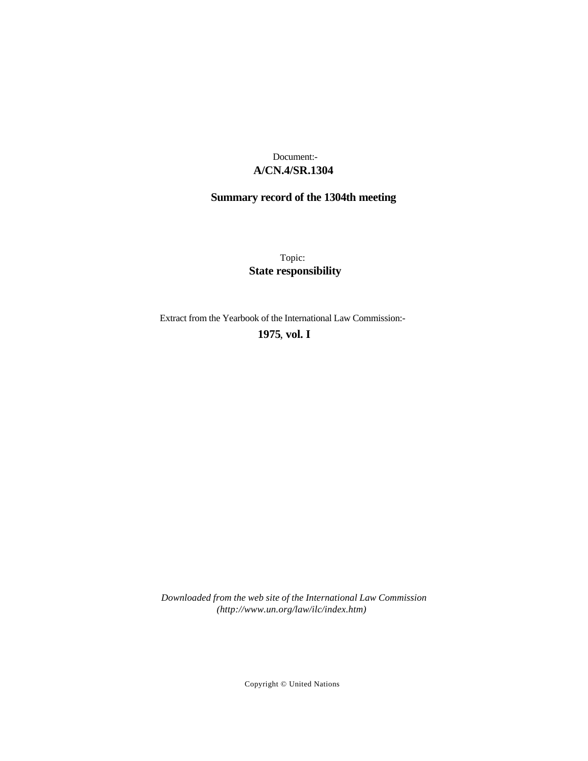# **A/CN.4/SR.1304** Document:-

# **Summary record of the 1304th meeting**

Topic: **State responsibility**

Extract from the Yearbook of the International Law Commission:-

# **1975** , **vol. I**

*Downloaded from the web site of the International Law Commission (http://www.un.org/law/ilc/index.htm)*

Copyright © United Nations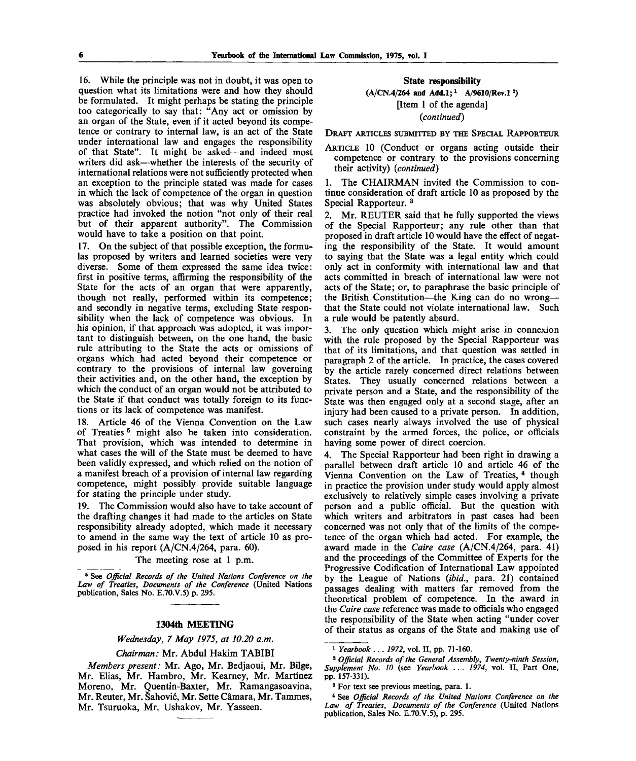16. While the principle was not in doubt, it was open to question what its limitations were and how they should be formulated. It might perhaps be stating the principle too categorically to say that: "Any act or omission by an organ of the State, even if it acted beyond its competence or contrary to internal law, is an act of the State under international law and engages the responsibility of that State". It might be asked—and indeed most writers did ask—whether the interests of the security of international relations were not sufficiently protected when an exception to the principle stated was made for cases in which the lack of competence of the organ in question was absolutely obvious; that was why United States practice had invoked the notion "not only of their real but of their apparent authority". The Commission would have to take a position on that point.

17. On the subject of that possible exception, the formulas proposed by writers and learned societies were very diverse. Some of them expressed the same idea twice: first in positive terms, affirming the responsibility of the State for the acts of an organ that were apparently, though not really, performed within its competence; and secondly in negative terms, excluding State responsibility when the lack of competence was obvious. In his opinion, if that approach was adopted, it was important to distinguish between, on the one hand, the basic rule attributing to the State the acts or omissions of organs which had acted beyond their competence or contrary to the provisions of internal law governing their activities and, on the other hand, the exception by which the conduct of an organ would not be attributed to the State if that conduct was totally foreign to its functions or its lack of competence was manifest.

18. Article 46 of the Vienna Convention on the Law of Treaties <sup>5</sup> might also be taken into consideration. That provision, which was intended to determine in what cases the will of the State must be deemed to have been validly expressed, and which relied on the notion of a manifest breach of a provision of internal law regarding competence, might possibly provide suitable language for stating the principle under study.

19. The Commission would also have to take account of the drafting changes it had made to the articles on State responsibility already adopted, which made it necessary to amend in the same way the text of article 10 as proposed in his report (A/CN.4/264, para. 60).

The meeting rose at 1 p.m.

8 See *Official Records of the United Nations Conference on the Law of Treaties, Documents of the Conference* (United Nations publication, Sales No. E.70.V.5) p. 295.

## **1304th MEETING**

*Wednesday, 7 May 1975, at 10.20 a.m.*

#### *Chairman:* Mr. Abdul Hakim TABIBI

*Members present:* Mr. Ago, Mr. Bedjaoui, Mr. Bilge, Mr. Elias, Mr. Hambro, Mr. Kearney, Mr. Martinez Moreno, Mr. Quentin-Baxter, Mr. Ramangasoavina, Mr. Reuter, Mr. Sahovic, Mr. Sette Camara, Mr. Tammes, Mr. Tsuruoka, Mr. Ushakov, Mr. Yasseen.

#### **State responsibility**

(A/CN.4/264 and Add.1;<sup>1</sup> A/9610/Rev.1<sup>2</sup>) [Item 1 of the agenda]

*{continued)*

DRAFT ARTICLES SUBMITTED BY THE SPECIAL RAPPORTEUR

ARTICLE 10 (Conduct or organs acting outside their competence or contrary to the provisions concerning their activity) *(continued)*

1. The CHAIRMAN invited the Commission to continue consideration of draft article 10 as proposed by the Special Rapporteur.<sup>3</sup>

2. Mr. REUTER said that he fully supported the views of the Special Rapporteur; any rule other than that proposed in draft article 10 would have the effect of negating the responsibility of the State. It would amount to saying that the State was a legal entity which could only act in conformity with international law and that acts committed in breach of international law were not acts of the State; or, to paraphrase the basic principle of the British Constitution—the King can do no wrong that the State could not violate international law. Such a rule would be patently absurd.

3. The only question which might arise in connexion with the rule proposed by the Special Rapporteur was that of its limitations, and that question was settled in paragraph 2 of the article. In practice, the cases covered by the article rarely concerned direct relations between States. They usually concerned relations between a private person and a State, and the responsibility of the State was then engaged only at a second stage, after an injury had been caused to a private person. In addition, such cases nearly always involved the use of physical constraint by the armed forces, the police, or officials having some power of direct coercion.

4. The Special Rapporteur had been right in drawing a parallel between draft article 10 and article 46 of the Vienna Convention on the Law of Treaties, 4 though in practice the provision under study would apply almost exclusively to relatively simple cases involving a private person and a public official. But the question with which writers and arbitrators in past cases had been concerned was not only that of the limits of the competence of the organ which had acted. For example, the award made in the *Caire case* (A/CN.4/264, para. 41) and the proceedings of the Committee of Experts for the Progressive Codification of International Law appointed by the League of Nations *(ibid.,* para. 21) contained passages dealing with matters far removed from the theoretical problem of competence. In the award in the *Caire case* reference was made to officials who engaged the responsibility of the State when acting "under cover of their status as organs of the State and making use of

2  *Official Records of the General Assembly, Twenty-ninth Session, Supplement No. 10* (see *Yearbook* .. . *1974,* vol. II, Part One, pp. 157-331).

<sup>3</sup> For text see previous meeting, para. 1.

<sup>1</sup>  *Yearbook* .. . *1972,* vol. II, pp. 71-160.

<sup>4</sup> See *Official Records of the United Nations Conference on the Law of Treaties, Documents of the Conference* (United Nations publication, Sales No. E.70.V.5), p. 295.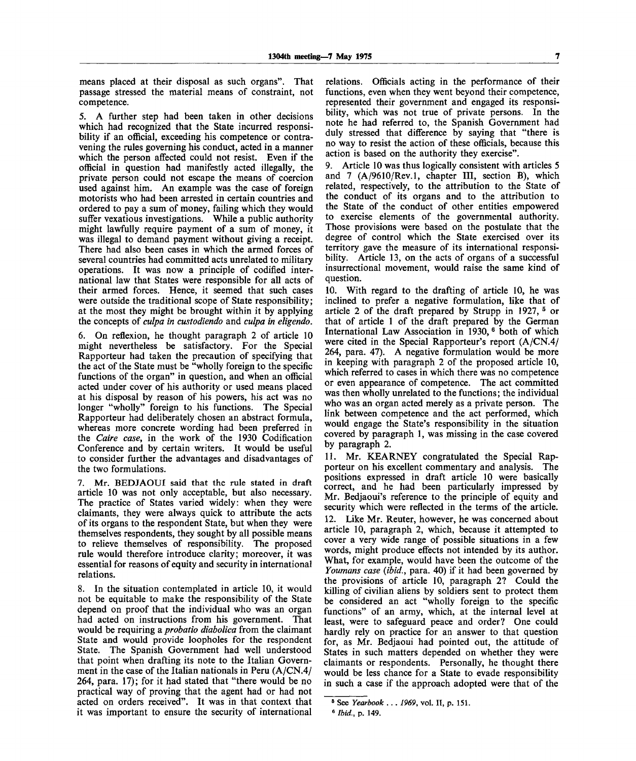means placed at their disposal as such organs". That passage stressed the material means of constraint, not competence.

5. A further step had been taken in other decisions which had recognized that the State incurred responsibility if an official, exceeding his competence or contravening the rules governing his conduct, acted in a manner which the person affected could not resist. Even if the official in question had manifestly acted illegally, the private person could not escape the means of coercion used against him. An example was the case of foreign motorists who had been arrested in certain countries and ordered to pay a sum of money, failing which they would suffer vexatious investigations. While a public authority might lawfully require payment of a sum of money, it was illegal to demand payment without giving a receipt. There had also been cases in which the armed forces of several countries had committed acts unrelated to military operations. It was now a principle of codified international law that States were responsible for all acts of their armed forces. Hence, it seemed that such cases were outside the traditional scope of State responsibility; at the most they might be brought within it by applying the concepts of *culpa in custodiendo* and *culpa in eligendo.*

6. On reflexion, he thought paragraph 2 of article 10 might nevertheless be satisfactory. For the Special Rapporteur had taken the precaution of specifying that the act of the State must be "wholly foreign to the specific functions of the organ" in question, and when an official acted under cover of his authority or used means placed at his disposal by reason of his powers, his act was no longer "wholly" foreign to his functions. The Special Rapporteur had deliberately chosen an abstract formula, whereas more concrete wording had been preferred in the *Caire case,* in the work of the 1930 Codification Conference and by certain writers. It would be useful to consider further the advantages and disadvantages of the two formulations.

7. Mr. BEDJAOUI said that the rule stated in draft article 10 was not only acceptable, but also necessary. The practice of States varied widely: when they were claimants, they were always quick to attribute the acts of its organs to the respondent State, but when they were themselves respondents, they sought by all possible means to relieve themselves of responsibility. The proposed rule would therefore introduce clarity; moreover, it was essential for reasons of equity and security in international relations.

8. In the situation contemplated in article 10, it would not be equitable to make the responsibility of the State depend on proof that the individual who was an organ had acted on instructions from his government. That would be requiring a *probatio diabolica* from the claimant State and would provide loopholes for the respondent State. The Spanish Government had well understood that point when drafting its note to the Italian Government in the case of the Italian nationals in Peru (A/CN.4/ 264, para. 17); for it had stated that "there would be no practical way of proving that the agent had or had not acted on orders received". It was in that context that it was important to ensure the security of international

relations. Officials acting in the performance of their functions, even when they went beyond their competence, represented their government and engaged its responsibility, which was not true of private persons. In the note he had referred to, the Spanish Government had duly stressed that difference by saying that "there is no way to resist the action of these officials, because this action is based on the authority they exercise".

9. Article 10 was thus logically consistent with articles 5 and 7 (A/9610/Rev.l, chapter III, section B), which related, respectively, to the attribution to the State of the conduct of its organs and to the attribution to the State of the conduct of other entities empowered to exercise elements of the governmental authority. Those provisions were based on the postulate that the degree of control which the State exercised over its territory gave the measure of its international responsibility. Article 13, on the acts of organs of a successful insurrectional movement, would raise the same kind of question.

10. With regard to the drafting of article 10, he was inclined to prefer a negative formulation, like that of article 2 of the draft prepared by Strupp in 1927, <sup>5</sup> or that of article 1 of the draft prepared by the German International Law Association in 1930,<sup>6</sup> both of which were cited in the Special Rapporteur's report (A/CN.4/ 264, para. 47). A negative formulation would be more in keeping with paragraph 2 of the proposed article 10, which referred to cases in which there was no competence or even appearance of competence. The act committed was then wholly unrelated to the functions; the individual who was an organ acted merely as a private person. The link between competence and the act performed, which would engage the State's responsibility in the situation covered by paragraph 1, was missing in the case covered by paragraph 2.

11. Mr. KEARNEY congratulated the Special Rapporteur on his excellent commentary and analysis. The positions expressed in draft article 10 were basically correct, and he had been particularly impressed by Mr. Bedjaoui's reference to the principle of equity and security which were reflected in the terms of the article. 12. Like Mr. Reuter, however, he was concerned about article 10, paragraph 2, which, because it attempted to cover a very wide range of possible situations in a few words, might produce effects not intended by its author. What, for example, would have been the outcome of the *Youmans case {ibid.,* para. 40) if it had been governed by the provisions of article 10, paragraph 2? Could the killing of civilian aliens by soldiers sent to protect them be considered an act "wholly foreign to the specific functions" of an army, which, at the internal level at least, were to safeguard peace and order? One could hardly rely on practice for an answer to that question for, as Mr. Bedjaoui had pointed out, the attitude of States in such matters depended on whether they were claimants or respondents. Personally, he thought there would be less chance for a State to evade responsibility in such a case if the approach adopted were that of the

<sup>6</sup> See *Yearbook .. . 1969,* vol. II, p. 151.

<sup>6</sup>  *Ibid.,* p. 149.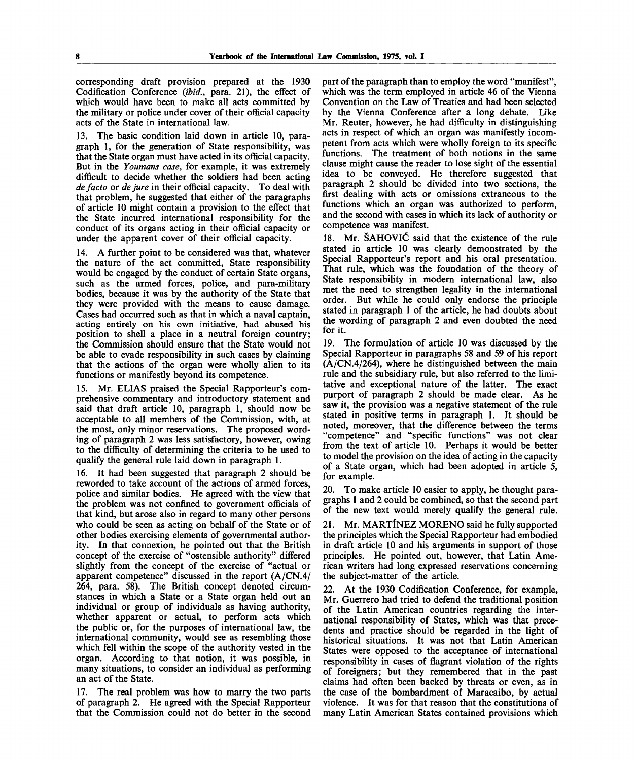corresponding draft provision prepared at the 1930 Codification Conference *(ibid.,* para. 21), the effect of which would have been to make all acts committed by the military or police under cover of their official capacity acts of the State in international law.

13. The basic condition laid down in article 10, paragraph 1, for the generation of State responsibility, was that the State organ must have acted in its official capacity. But in the *Youmans case,* for example, it was extremely difficult to decide whether the soldiers had been acting *de facto* or *de jure* in their official capacity. To deal with that problem, he suggested that either of the paragraphs of article 10 might contain a provision to the effect that the State incurred international responsibility for the conduct of its organs acting in their official capacity or under the apparent cover of their official capacity.

14. A further point to be considered was that, whatever the nature of the act committed, State responsibility would be engaged by the conduct of certain State organs, such as the armed forces, police, and para-military bodies, because it was by the authority of the State that they were provided with the means to cause damage. Cases had occurred such as that in which a naval captain, acting entirely on his own initiative, had abused his position to shell a place in a neutral foreign country; the Commission should ensure that the State would not be able to evade responsibility in such cases by claiming that the actions of the organ were wholly alien to its functions or manifestly beyond its competence.

Mr. ELIAS praised the Special Rapporteur's comprehensive commentary and introductory statement and said that draft article 10, paragraph 1, should now be acceptable to all members of the Commission, with, at the most, only minor reservations. The proposed wording of paragraph 2 was less satisfactory, however, owing to the difficulty of determining the criteria to be used to qualify the general rule laid down in paragraph 1.

16. It had been suggested that paragraph 2 should be reworded to take account of the actions of armed forces, police and similar bodies. He agreed with the view that the problem was not confined to government officials of that kind, but arose also in regard to many other persons who could be seen as acting on behalf of the State or of other bodies exercising elements of governmental authority. In that connexion, he pointed out that the British concept of the exercise of "ostensible authority" differed slightly from the concept of the exercise of "actual or apparent competence" discussed in the report (A/CN.4/ 264, para. 58). The British concept denoted circumstances in which a State or a State organ held out an individual or group of individuals as having authority, whether apparent or actual, to perform acts which the public or, for the purposes of international law, the international community, would see as resembling those which fell within the scope of the authority vested in the organ. According to that notion, it was possible, in many situations, to consider an individual as performing an act of the State.

17. The real problem was how to marry the two parts of paragraph 2. He agreed with the Special Rapporteur that the Commission could not do better in the second part of the paragraph than to employ the word "manifest", which was the term employed in article 46 of the Vienna Convention on the Law of Treaties and had been selected by the Vienna Conference after a long debate. Like Mr. Reuter, however, he had difficulty in distinguishing acts in respect of which an organ was manifestly incompetent from acts which were wholly foreign to its specific functions. The treatment of both notions in the same clause might cause the reader to lose sight of the essential idea to be conveyed. He therefore suggested that paragraph 2 should be divided into two sections, the first dealing with acts or omissions extraneous to the functions which an organ was authorized to perform, and the second with cases in which its lack of authority or competence was manifest.

18. Mr. SAHOVlC said that the existence of the rule stated in article 10 was clearly demonstrated by the Special Rapporteur's report and his oral presentation. That rule, which was the foundation of the theory of State responsibility in modern international law, also met the need to strengthen legality in the international order. But while he could only endorse the principle stated in paragraph 1 of the article, he had doubts about the wording of paragraph 2 and even doubted the need for it.

19. The formulation of article 10 was discussed by the Special Rapporteur in paragraphs 58 and 59 of his report (A/CN.4/264), where he distinguished between the main rule and the subsidiary rule, but also referred to the limitative and exceptional nature of the latter. The exact purport of paragraph 2 should be made clear. As he saw it, the provision was a negative statement of the rule stated in positive terms in paragraph 1. It should be noted, moreover, that the difference between the terms "competence" and "specific functions" was not clear from the text of article 10. Perhaps it would be better to model the provision on the idea of acting in the capacity of a State organ, which had been adopted in article  $5$ , for example.

20. To make article 10 easier to apply, he thought paragraphs 1 and 2 could be combined, so that the second part of the new text would merely qualify the general rule.

21. Mr. MARTINEZ MORENO said he fully supported the principles which the Special Rapporteur had embodied in draft article 10 and his arguments in support of those principles. He pointed out, however, that Latin American writers had long expressed reservations concerning the subject-matter of the article.

22. At the 1930 Codification Conference, for example, Mr. Guerrero had tried to defend the traditional position of the Latin American countries regarding the international responsibility of States, which was that precedents and practice should be regarded in the light of historical situations. It was not that Latin American States were opposed to the acceptance of international responsibility in cases of flagrant violation of the rights of foreigners; but they remembered that in the past claims had often been backed by threats or even, as in the case of the bombardment of Maracaibo, by actual violence. It was for that reason that the constitutions of many Latin American States contained provisions which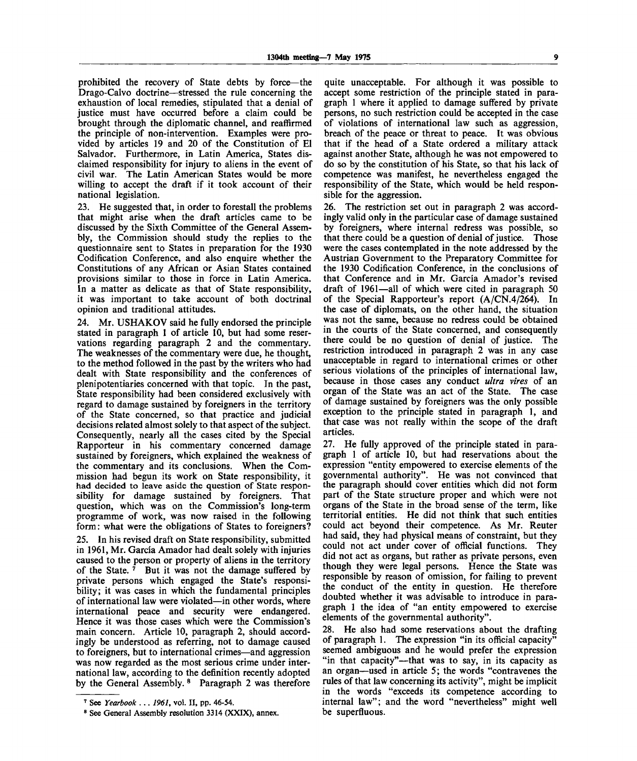prohibited the recovery of State debts by force—the Drago-Calvo doctrine—stressed the rule concerning the exhaustion of local remedies, stipulated that a denial of justice must have occurred before a claim could be brought through the diplomatic channel, and reaffirmed the principle of non-intervention. Examples were provided by articles 19 and 20 of the Constitution of El Salvador. Furthermore, in Latin America, States disclaimed responsibility for injury to aliens in the event of civil war. The Latin American States would be more willing to accept the draft if it took account of their national legislation.

23. He suggested that, in order to forestall the problems that might arise when the draft articles came to be discussed by the Sixth Committee of the General Assembly, the Commission should study the replies to the questionnaire sent to States in preparation for the 1930 Codification Conference, and also enquire whether the Constitutions of any African or Asian States contained provisions similar to those in force in Latin America. In a matter as delicate as that of State responsibility, it was important to take account of both doctrinal opinion and traditional attitudes.

24. Mr. USHAKOV said he fully endorsed the principle stated in paragraph 1 of article 10, but had some reservations regarding paragraph 2 and the commentary. The weaknesses of the commentary were due, he thought, to the method followed in the past by the writers who had dealt with State responsibility and the conferences of plenipotentiaries concerned with that topic. In the past, State responsibility had been considered exclusively with regard to damage sustained by foreigners in the territory of the State concerned, so that practice and judicial decisions related almost solely to that aspect of the subject. Consequently, nearly all the cases cited by the Special Rapporteur in his commentary concerned damage sustained by foreigners, which explained the weakness of the commentary and its conclusions. When the Commission had begun its work on State responsibility, it had decided to leave aside the question of State responsibility for damage sustained by foreigners. That question, which was on the Commission's long-term programme of work, was now raised in the following form: what were the obligations of States to foreigners?

25. In his revised draft on State responsibility, submitted in 1961, Mr. Garcia Amador had dealt solely with injuries caused to the person or property of aliens in the territory of the State.<sup>7</sup> But it was not the damage suffered by private persons which engaged the State's responsibility; it was cases in which the fundamental principles of international law were violated—in other words, where international peace and security were endangered. Hence it was those cases which were the Commission's main concern. Article 10, paragraph 2, should accordingly be understood as referring, not to damage caused to foreigners, but to international crimes—and aggression was now regarded as the most serious crime under international law, according to the definition recently adopted by the General Assembly.<sup>8</sup> Paragraph 2 was therefore

quite unacceptable. For although it was possible to accept some restriction of the principle stated in paragraph 1 where it applied to damage suffered by private persons, no such restriction could be accepted in the case of violations of international law such as aggression, breach of the peace or threat to peace. It was obvious that if the head of a State ordered a military attack against another State, although he was not empowered to do so by the constitution of his State, so that his lack of competence was manifest, he nevertheless engaged the responsibility of the State, which would be held responsible for the aggression.

26. The restriction set out in paragraph 2 was accordingly valid only in the particular case of damage sustained by foreigners, where internal redress was possible, so that there could be a question of denial of justice. Those were the cases contemplated in the note addressed by the Austrian Government to the Preparatory Committee for the 1930 Codification Conference, in the conclusions of that Conference and in Mr. Garcia Amador's revised draft of 1961—all of which were cited in paragraph 50 of the Special Rapporteur's report  $(A/CN.4/264)$ . In the case of diplomats, on the other hand, the situation was not the same, because no redress could be obtained in the courts of the State concerned, and consequently there could be no question of denial of justice. The restriction introduced in paragraph 2 was in any case unacceptable in regard to international crimes or other serious violations of the principles of international law, because in those cases any conduct *ultra vires* of an organ of the State was an act of the State. The case of damage sustained by foreigners was the only possible exception to the principle stated in paragraph 1, and that case was not really within the scope of the draft articles.

27. He fully approved of the principle stated in paragraph 1 of article 10, but had reservations about the expression "entity empowered to exercise elements of the governmental authority". He was not convinced that the paragraph should cover entities which did not form part of the State structure proper and which were not organs of the State in the broad sense of the term, like territorial entities. He did not think that such entities could act beyond their competence. As Mr. Reuter had said, they had physical means of constraint, but they could not act under cover of official functions. They did not act as organs, but rather as private persons, even though they were legal persons. Hence the State was responsible by reason of omission, for failing to prevent the conduct of the entity in question. He therefore doubted whether it was advisable to introduce in paragraph 1 the idea of "an entity empowered to exercise elements of the governmental authority".

28. He also had some reservations about the drafting of paragraph 1. The expression "in its official capacity" seemed ambiguous and he would prefer the expression "in that capacity"—that was to say, in its capacity as an organ—used in article 5; the words "contravenes the rules of that law concerning its activity", might be implicit in the words "exceeds its competence according to internal law"; and the word "nevertheless" might well be superfluous.

<sup>7</sup> See *Yearbook ... 1961,* vol. II, pp. 46-54.

<sup>&</sup>lt;sup>8</sup> See General Assembly resolution 3314 (XXIX), annex.